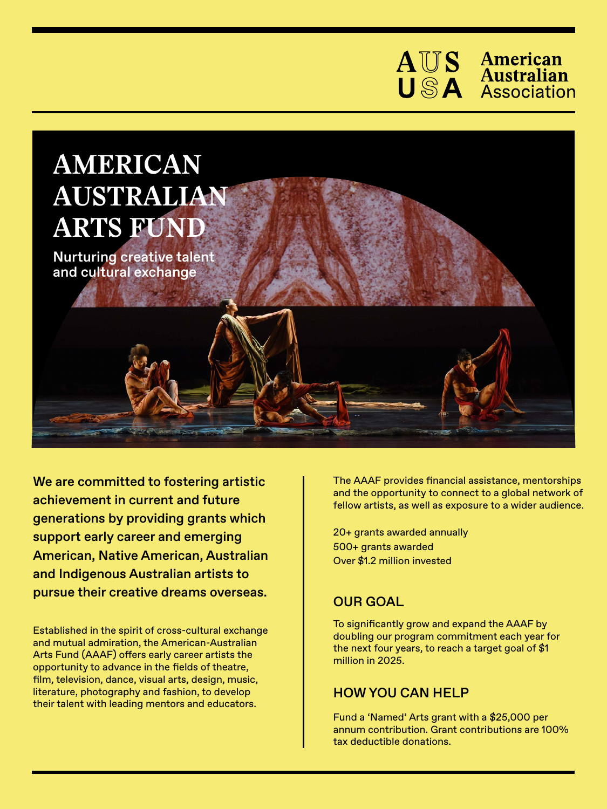



Nurturing creative talent and cultural exchange

We are committed to fostering artistic achievement in current and future generations by providing grants which support early career and emerging American, Native American, Australian and Indigenous Australian artists to pursue their creative dreams overseas.

Established in the spirit of cross-cultural exchange and mutual admiration, the American-Australian Arts Fund (AAAF) offers early career artists the opportunity to advance in the fields of theatre, film, television, dance, visual arts, design, music, literature, photography and fashion, to develop their talent with leading mentors and educators.

The AAAF provides financial assistance, mentorships and the opportunity to connect to a global network of fellow artists, as well as exposure to a wider audience.

20+ grants awarded annually 500+ grants awarded Over \$1.2 million invested

## OUR GOAL

To significantly grow and expand the AAAF by doubling our program commitment each year for the next four years, to reach a target goal of \$1 million in 2025.

## HOW YOU CAN HELP

Fund a 'Named' Arts grant with a \$25,000 per annum contribution. Grant contributions are 100% tax deductible donations.